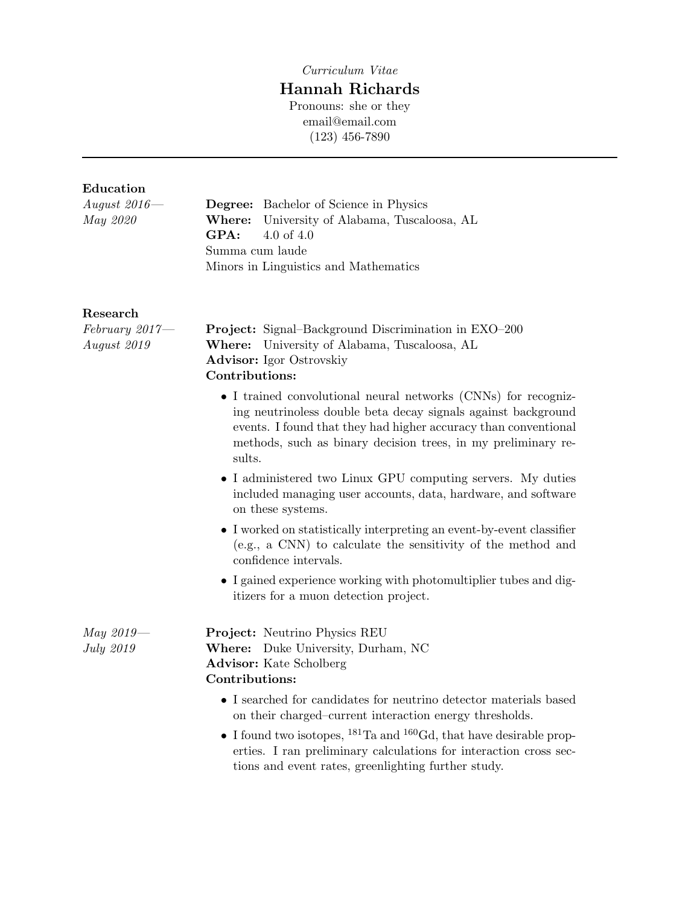Curriculum Vitae

# Hannah Richards

Pronouns: she or they email@email.com (123) 456-7890

## Education

| August $2016-$<br>May 2020                   | <b>Degree:</b> Bachelor of Science in Physics<br>Where:<br>University of Alabama, Tuscaloosa, AL<br>GPA:<br>4.0 of $4.0$<br>Summa cum laude<br>Minors in Linguistics and Mathematics                                                                                                                                                         |  |  |  |
|----------------------------------------------|----------------------------------------------------------------------------------------------------------------------------------------------------------------------------------------------------------------------------------------------------------------------------------------------------------------------------------------------|--|--|--|
| Research<br>$February 2017 -$<br>August 2019 | <b>Project:</b> Signal–Background Discrimination in EXO–200<br>Where: University of Alabama, Tuscaloosa, AL<br><b>Advisor:</b> Igor Ostrovskiy<br>Contributions:                                                                                                                                                                             |  |  |  |
|                                              | • I trained convolutional neural networks (CNNs) for recogniz-<br>ing neutrinoless double beta decay signals against background<br>events. I found that they had higher accuracy than conventional<br>methods, such as binary decision trees, in my preliminary re-<br>sults.<br>• I administered two Linux GPU computing servers. My duties |  |  |  |
|                                              | included managing user accounts, data, hardware, and software<br>on these systems.<br>• I worked on statistically interpreting an event-by-event classifier<br>(e.g., a CNN) to calculate the sensitivity of the method and                                                                                                                  |  |  |  |
|                                              | confidence intervals.<br>• I gained experience working with photomultiplier tubes and dig-<br>itizers for a muon detection project.                                                                                                                                                                                                          |  |  |  |
| $May 2019 -$<br>July 2019                    | Project: Neutrino Physics REU<br>Where: Duke University, Durham, NC<br><b>Advisor:</b> Kate Scholberg<br>Contributions:                                                                                                                                                                                                                      |  |  |  |
|                                              | • I searched for candidates for neutrino detector materials based<br>on their charged-current interaction energy thresholds.                                                                                                                                                                                                                 |  |  |  |
|                                              | • I found two isotopes, $^{181}$ Ta and $^{160}$ Gd, that have desirable prop-<br>erties. I ran preliminary calculations for interaction cross sec-<br>tions and event rates, greenlighting further study.                                                                                                                                   |  |  |  |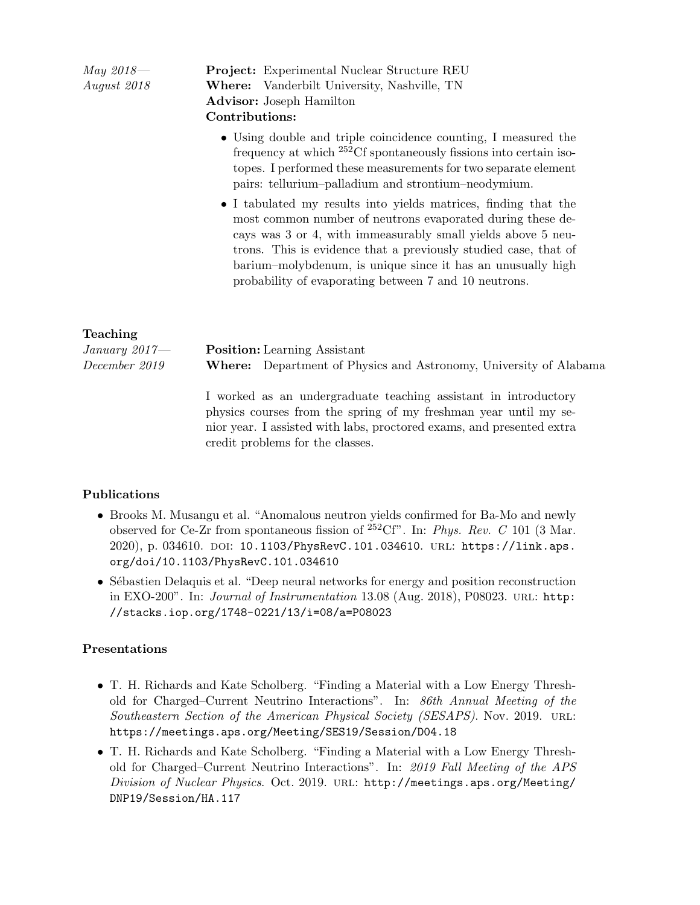| <i>May</i> 2018—<br>August 2018 | <b>Project:</b> Experimental Nuclear Structure REU<br><b>Where:</b> Vanderbilt University, Nashville, TN<br><b>Advisor:</b> Joseph Hamilton<br>Contributions:                                                                                                                                                                                                                            |
|---------------------------------|------------------------------------------------------------------------------------------------------------------------------------------------------------------------------------------------------------------------------------------------------------------------------------------------------------------------------------------------------------------------------------------|
|                                 | • Using double and triple coincidence counting, I measured the<br>frequency at which $^{252}$ Cf spontaneously fissions into certain iso-<br>topes. I performed these measurements for two separate element<br>pairs: tellurium-palladium and strontium-neodymium.                                                                                                                       |
|                                 | • I tabulated my results into yields matrices, finding that the<br>most common number of neutrons evaporated during these de-<br>cays was 3 or 4, with immeasurably small yields above 5 neu-<br>trons. This is evidence that a previously studied case, that of<br>barium-molybdenum, is unique since it has an unusually high<br>probability of evaporating between 7 and 10 neutrons. |

#### Teaching

| January 2017— | <b>Position:</b> Learning Assistant |                                                                          |  |
|---------------|-------------------------------------|--------------------------------------------------------------------------|--|
| December 2019 |                                     | <b>Where:</b> Department of Physics and Astronomy, University of Alabama |  |

I worked as an undergraduate teaching assistant in introductory physics courses from the spring of my freshman year until my senior year. I assisted with labs, proctored exams, and presented extra credit problems for the classes.

#### Publications

- Brooks M. Musangu et al. "Anomalous neutron yields confirmed for Ba-Mo and newly observed for Ce-Zr from spontaneous fission of  $^{252}$ Cf". In: Phys. Rev. C 101 (3 Mar. 2020), p. 034610. DOI: 10.1103/PhysRevC.101.034610. URL: https://link.aps. org/doi/10.1103/PhysRevC.101.034610
- Sébastien Delaquis et al. "Deep neural networks for energy and position reconstruction in EXO-200". In: *Journal of Instrumentation* 13.08 (Aug. 2018), P08023. URL: http: //stacks.iop.org/1748-0221/13/i=08/a=P08023

#### Presentations

- T. H. Richards and Kate Scholberg. "Finding a Material with a Low Energy Threshold for Charged–Current Neutrino Interactions". In: 86th Annual Meeting of the Southeastern Section of the American Physical Society (SESAPS). Nov. 2019. url: https://meetings.aps.org/Meeting/SES19/Session/D04.18
- T. H. Richards and Kate Scholberg. "Finding a Material with a Low Energy Threshold for Charged–Current Neutrino Interactions". In: 2019 Fall Meeting of the APS Division of Nuclear Physics. Oct. 2019. url: http://meetings.aps.org/Meeting/ DNP19/Session/HA.117